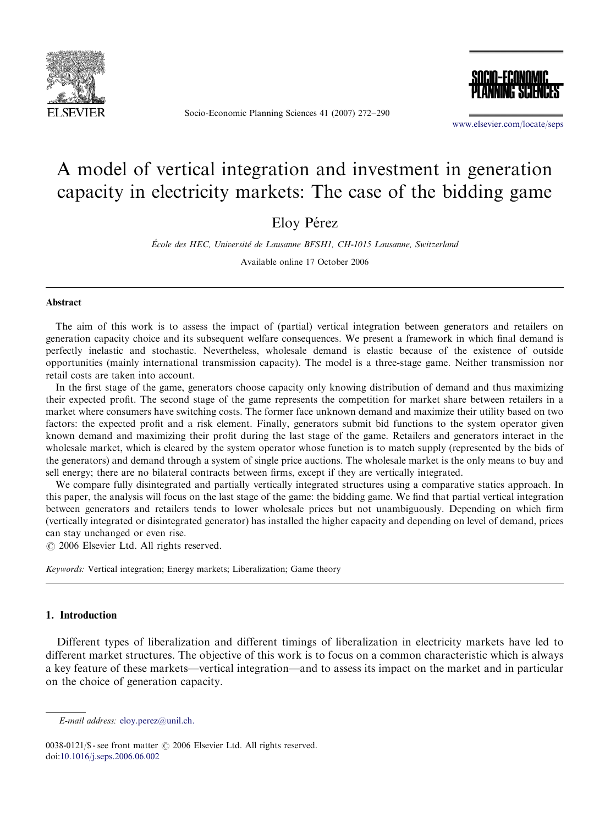

Socio-Economic Planning Sciences 41 (2007) 272–290



<www.elsevier.com/locate/seps>

## A model of vertical integration and investment in generation capacity in electricity markets: The case of the bidding game

Eloy Pérez

École des HEC, Université de Lausanne BFSH1, CH-1015 Lausanne, Switzerland

Available online 17 October 2006

## Abstract

The aim of this work is to assess the impact of (partial) vertical integration between generators and retailers on generation capacity choice and its subsequent welfare consequences. We present a framework in which final demand is perfectly inelastic and stochastic. Nevertheless, wholesale demand is elastic because of the existence of outside opportunities (mainly international transmission capacity). The model is a three-stage game. Neither transmission nor retail costs are taken into account.

In the first stage of the game, generators choose capacity only knowing distribution of demand and thus maximizing their expected profit. The second stage of the game represents the competition for market share between retailers in a market where consumers have switching costs. The former face unknown demand and maximize their utility based on two factors: the expected profit and a risk element. Finally, generators submit bid functions to the system operator given known demand and maximizing their profit during the last stage of the game. Retailers and generators interact in the wholesale market, which is cleared by the system operator whose function is to match supply (represented by the bids of the generators) and demand through a system of single price auctions. The wholesale market is the only means to buy and sell energy; there are no bilateral contracts between firms, except if they are vertically integrated.

We compare fully disintegrated and partially vertically integrated structures using a comparative statics approach. In this paper, the analysis will focus on the last stage of the game: the bidding game. We find that partial vertical integration between generators and retailers tends to lower wholesale prices but not unambiguously. Depending on which firm (vertically integrated or disintegrated generator) has installed the higher capacity and depending on level of demand, prices can stay unchanged or even rise.

 $O$  2006 Elsevier Ltd. All rights reserved.

Keywords: Vertical integration; Energy markets; Liberalization; Game theory

## 1. Introduction

Different types of liberalization and different timings of liberalization in electricity markets have led to different market structures. The objective of this work is to focus on a common characteristic which is always a key feature of these markets—vertical integration—and to assess its impact on the market and in particular on the choice of generation capacity.

E-mail address: [eloy.perez@unil.ch.](mailto:eloy.perez@unil.ch)

<sup>0038-0121/\$ -</sup> see front matter  $\odot$  2006 Elsevier Ltd. All rights reserved. doi[:10.1016/j.seps.2006.06.002](dx.doi.org/10.1016/j.seps.2006.06.002)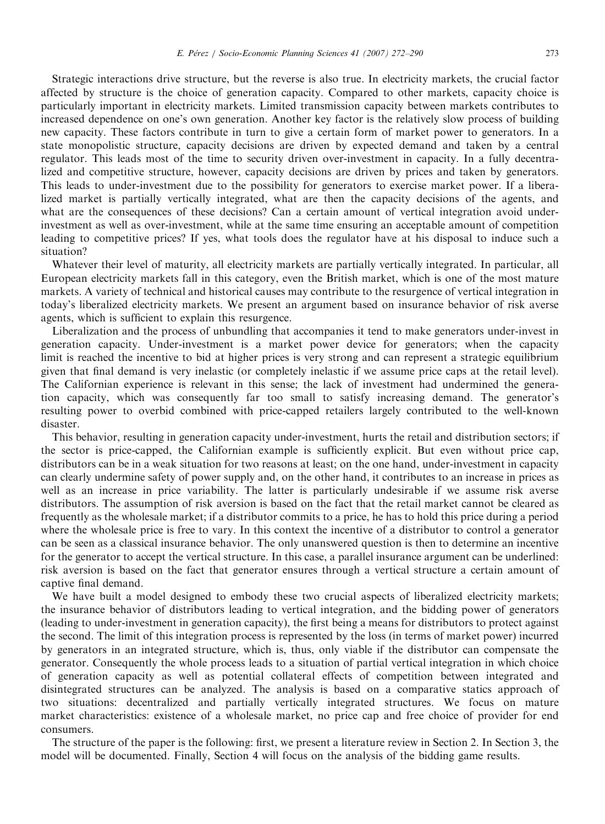Strategic interactions drive structure, but the reverse is also true. In electricity markets, the crucial factor affected by structure is the choice of generation capacity. Compared to other markets, capacity choice is particularly important in electricity markets. Limited transmission capacity between markets contributes to increased dependence on one's own generation. Another key factor is the relatively slow process of building new capacity. These factors contribute in turn to give a certain form of market power to generators. In a state monopolistic structure, capacity decisions are driven by expected demand and taken by a central regulator. This leads most of the time to security driven over-investment in capacity. In a fully decentralized and competitive structure, however, capacity decisions are driven by prices and taken by generators. This leads to under-investment due to the possibility for generators to exercise market power. If a liberalized market is partially vertically integrated, what are then the capacity decisions of the agents, and what are the consequences of these decisions? Can a certain amount of vertical integration avoid underinvestment as well as over-investment, while at the same time ensuring an acceptable amount of competition leading to competitive prices? If yes, what tools does the regulator have at his disposal to induce such a situation?

Whatever their level of maturity, all electricity markets are partially vertically integrated. In particular, all European electricity markets fall in this category, even the British market, which is one of the most mature markets. A variety of technical and historical causes may contribute to the resurgence of vertical integration in today's liberalized electricity markets. We present an argument based on insurance behavior of risk averse agents, which is sufficient to explain this resurgence.

Liberalization and the process of unbundling that accompanies it tend to make generators under-invest in generation capacity. Under-investment is a market power device for generators; when the capacity limit is reached the incentive to bid at higher prices is very strong and can represent a strategic equilibrium given that final demand is very inelastic (or completely inelastic if we assume price caps at the retail level). The Californian experience is relevant in this sense; the lack of investment had undermined the generation capacity, which was consequently far too small to satisfy increasing demand. The generator's resulting power to overbid combined with price-capped retailers largely contributed to the well-known disaster.

This behavior, resulting in generation capacity under-investment, hurts the retail and distribution sectors; if the sector is price-capped, the Californian example is sufficiently explicit. But even without price cap, distributors can be in a weak situation for two reasons at least; on the one hand, under-investment in capacity can clearly undermine safety of power supply and, on the other hand, it contributes to an increase in prices as well as an increase in price variability. The latter is particularly undesirable if we assume risk averse distributors. The assumption of risk aversion is based on the fact that the retail market cannot be cleared as frequently as the wholesale market; if a distributor commits to a price, he has to hold this price during a period where the wholesale price is free to vary. In this context the incentive of a distributor to control a generator can be seen as a classical insurance behavior. The only unanswered question is then to determine an incentive for the generator to accept the vertical structure. In this case, a parallel insurance argument can be underlined: risk aversion is based on the fact that generator ensures through a vertical structure a certain amount of captive final demand.

We have built a model designed to embody these two crucial aspects of liberalized electricity markets; the insurance behavior of distributors leading to vertical integration, and the bidding power of generators (leading to under-investment in generation capacity), the first being a means for distributors to protect against the second. The limit of this integration process is represented by the loss (in terms of market power) incurred by generators in an integrated structure, which is, thus, only viable if the distributor can compensate the generator. Consequently the whole process leads to a situation of partial vertical integration in which choice of generation capacity as well as potential collateral effects of competition between integrated and disintegrated structures can be analyzed. The analysis is based on a comparative statics approach of two situations: decentralized and partially vertically integrated structures. We focus on mature market characteristics: existence of a wholesale market, no price cap and free choice of provider for end consumers.

The structure of the paper is the following: first, we present a literature review in Section 2. In Section 3, the model will be documented. Finally, Section 4 will focus on the analysis of the bidding game results.